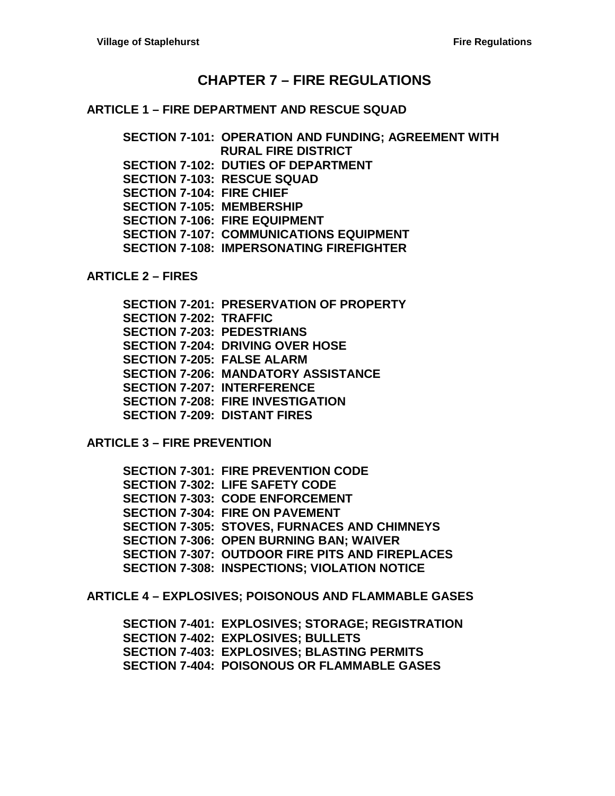## **CHAPTER 7 – [FIRE REGULATIONS](#page-2-0)**

#### **ARTICLE 1 – [FIRE DEPARTMENT AND RESCUE SQUAD](#page-2-1)**

**[SECTION 7-101: OPERATION AND FUNDING; AGREEMENT WITH](#page-2-2)  [RURAL FIRE DISTRICT](#page-2-2) [SECTION 7-102: DUTIES OF DEPARTMENT](#page-2-3) [SECTION 7-103: RESCUE SQUAD](#page-2-4) [SECTION 7-104: FIRE CHIEF](#page-2-5) [SECTION 7-105: MEMBERSHIP](#page-3-0) [SECTION 7-106: FIRE EQUIPMENT](#page-4-0) [SECTION 7-107: COMMUNICATIONS](#page-4-1) EQUIPMENT [SECTION 7-108: IMPERSONATING FIREFIGHTER](#page-4-2)**

**[ARTICLE 2 –](#page-6-0) FIRES**

**[SECTION 7-201: PRESERVATION OF PROPERTY](#page-6-1) [SECTION 7-202: TRAFFIC](#page-6-2) [SECTION 7-203: PEDESTRIANS](#page-6-3) [SECTION 7-204: DRIVING OVER HOSE](#page-6-4) [SECTION 7-205: FALSE ALARM](#page-6-5) [SECTION 7-206: MANDATORY ASSISTANCE](#page-6-6) [SECTION 7-207: INTERFERENCE](#page-6-7) [SECTION 7-208: FIRE INVESTIGATION](#page-7-0) [SECTION 7-209: DISTANT FIRES](#page-7-1)**

**ARTICLE 3 – [FIRE PREVENTION](#page-8-0)**

**[SECTION 7-301: FIRE PREVENTION CODE](#page-8-1) [SECTION 7-302: LIFE SAFETY CODE](#page-8-2) [SECTION 7-303: CODE ENFORCEMENT](#page-8-3) [SECTION 7-304: FIRE ON PAVEMENT](#page-8-4) [SECTION 7-305: STOVES, FURNACES AND CHIMNEYS](#page-8-5) [SECTION 7-306: OPEN BURNING BAN; WAIVER](#page-8-6) [SECTION 7-307: OUTDOOR FIRE PITS AND FIREPLACES](#page-9-0) [SECTION 7-308: INSPECTIONS; VIOLATION NOTICE](#page-11-0)**

**ARTICLE 4 – [EXPLOSIVES; POISONOUS AND FLAMMABLE GASES](#page-12-0)**

**[SECTION 7-401: EXPLOSIVES; STORAGE; REGISTRATION](#page-12-1) [SECTION 7-402: EXPLOSIVES; BULLETS](#page-12-2) [SECTION 7-403: EXPLOSIVES; BLASTING PERMITS](#page-12-3) [SECTION 7-404: POISONOUS OR FLAMMABLE GASES](#page-12-4)**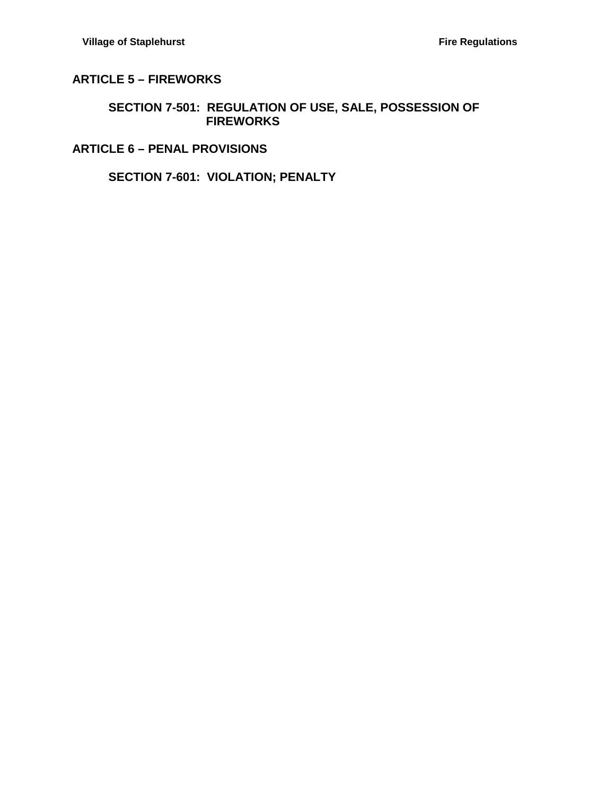## **ARTICLE 5 – [FIREWORKS](#page-14-0)**

#### **[SECTION 7-501: REGULATION OF USE, SALE, POSSESSION OF](#page-14-1)  [FIREWORKS](#page-14-1)**

### **ARTICLE 6 – [PENAL PROVISIONS](#page-16-0)**

### **[SECTION 7-601: VIOLATION; PENALTY](#page-16-1)**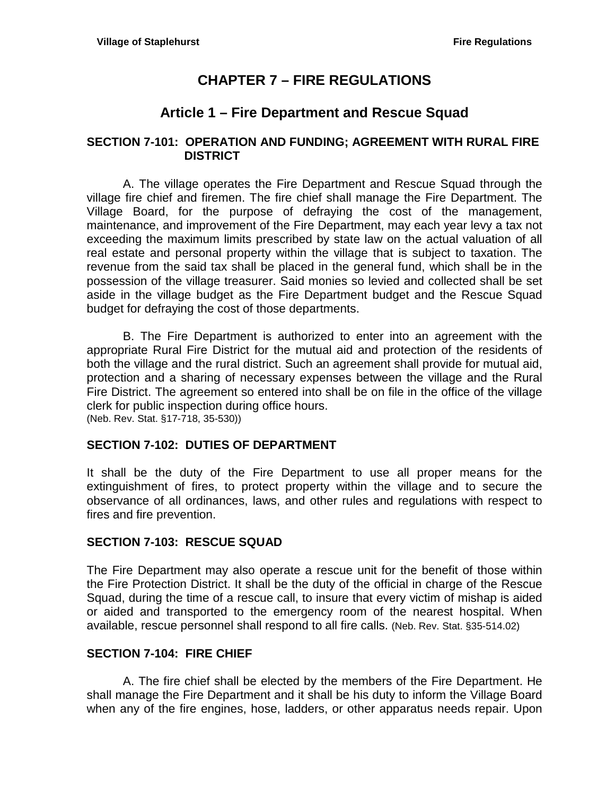# **CHAPTER 7 – FIRE REGULATIONS**

# **Article 1 – Fire Department and Rescue Squad**

### <span id="page-2-2"></span><span id="page-2-1"></span><span id="page-2-0"></span>**SECTION 7-101: OPERATION AND FUNDING; AGREEMENT WITH RURAL FIRE DISTRICT**

A. The village operates the Fire Department and Rescue Squad through the village fire chief and firemen. The fire chief shall manage the Fire Department. The Village Board, for the purpose of defraying the cost of the management, maintenance, and improvement of the Fire Department, may each year levy a tax not exceeding the maximum limits prescribed by state law on the actual valuation of all real estate and personal property within the village that is subject to taxation. The revenue from the said tax shall be placed in the general fund, which shall be in the possession of the village treasurer. Said monies so levied and collected shall be set aside in the village budget as the Fire Department budget and the Rescue Squad budget for defraying the cost of those departments.

B. The Fire Department is authorized to enter into an agreement with the appropriate Rural Fire District for the mutual aid and protection of the residents of both the village and the rural district. Such an agreement shall provide for mutual aid, protection and a sharing of necessary expenses between the village and the Rural Fire District. The agreement so entered into shall be on file in the office of the village clerk for public inspection during office hours. (Neb. Rev. Stat. §17-718, 35-530))

### <span id="page-2-3"></span>**SECTION 7-102: DUTIES OF DEPARTMENT**

It shall be the duty of the Fire Department to use all proper means for the extinguishment of fires, to protect property within the village and to secure the observance of all ordinances, laws, and other rules and regulations with respect to fires and fire prevention.

### <span id="page-2-4"></span>**SECTION 7-103: RESCUE SQUAD**

The Fire Department may also operate a rescue unit for the benefit of those within the Fire Protection District. It shall be the duty of the official in charge of the Rescue Squad, during the time of a rescue call, to insure that every victim of mishap is aided or aided and transported to the emergency room of the nearest hospital. When available, rescue personnel shall respond to all fire calls. (Neb. Rev. Stat. §35-514.02)

### <span id="page-2-5"></span>**SECTION 7-104: FIRE CHIEF**

A. The fire chief shall be elected by the members of the Fire Department. He shall manage the Fire Department and it shall be his duty to inform the Village Board when any of the fire engines, hose, ladders, or other apparatus needs repair. Upon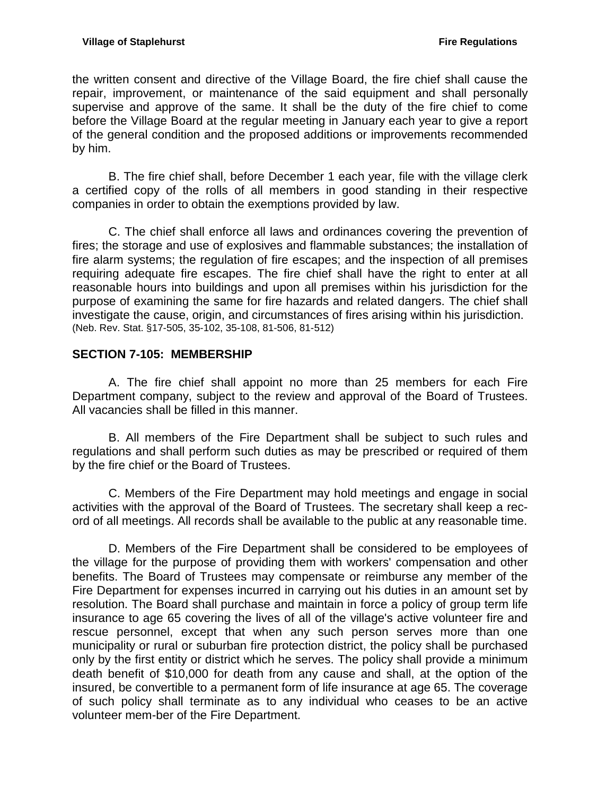the written consent and directive of the Village Board, the fire chief shall cause the repair, improvement, or maintenance of the said equipment and shall personally supervise and approve of the same. It shall be the duty of the fire chief to come before the Village Board at the regular meeting in January each year to give a report of the general condition and the proposed additions or improvements recommended by him.

B. The fire chief shall, before December 1 each year, file with the village clerk a certified copy of the rolls of all members in good standing in their respective companies in order to obtain the exemptions provided by law.

C. The chief shall enforce all laws and ordinances covering the prevention of fires; the storage and use of explosives and flammable substances; the installation of fire alarm systems; the regulation of fire escapes; and the inspection of all premises requiring adequate fire escapes. The fire chief shall have the right to enter at all reasonable hours into buildings and upon all premises within his jurisdiction for the purpose of examining the same for fire hazards and related dangers. The chief shall investigate the cause, origin, and circumstances of fires arising within his jurisdiction. (Neb. Rev. Stat. §17-505, 35-102, 35-108, 81-506, 81-512)

### <span id="page-3-0"></span>**SECTION 7-105: MEMBERSHIP**

A. The fire chief shall appoint no more than 25 members for each Fire Department company, subject to the review and approval of the Board of Trustees. All vacancies shall be filled in this manner.

B. All members of the Fire Department shall be subject to such rules and regulations and shall perform such duties as may be prescribed or required of them by the fire chief or the Board of Trustees.

C. Members of the Fire Department may hold meetings and engage in social activities with the approval of the Board of Trustees. The secretary shall keep a record of all meetings. All records shall be available to the public at any reasonable time.

D. Members of the Fire Department shall be considered to be employees of the village for the purpose of providing them with workers' compensation and other benefits. The Board of Trustees may compensate or reimburse any member of the Fire Department for expenses incurred in carrying out his duties in an amount set by resolution. The Board shall purchase and maintain in force a policy of group term life insurance to age 65 covering the lives of all of the village's active volunteer fire and rescue personnel, except that when any such person serves more than one municipality or rural or suburban fire protection district, the policy shall be purchased only by the first entity or district which he serves. The policy shall provide a minimum death benefit of \$10,000 for death from any cause and shall, at the option of the insured, be convertible to a permanent form of life insurance at age 65. The coverage of such policy shall terminate as to any individual who ceases to be an active volunteer mem-ber of the Fire Department.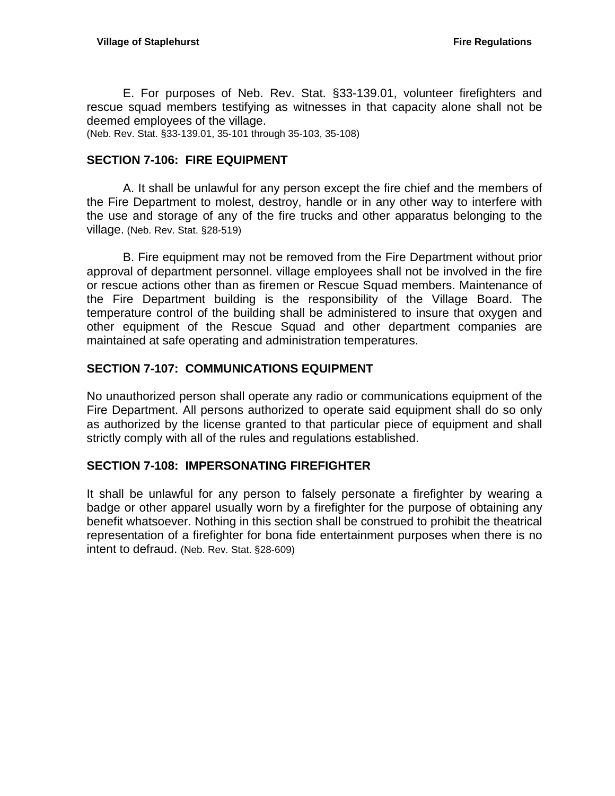E. For purposes of Neb. Rev. Stat. §33-139.01, volunteer firefighters and rescue squad members testifying as witnesses in that capacity alone shall not be deemed employees of the village. (Neb. Rev. Stat. §33-139.01, 35-101 through 35-103, 35-108)

### <span id="page-4-0"></span>**SECTION 7-106: FIRE EQUIPMENT**

A. It shall be unlawful for any person except the fire chief and the members of the Fire Department to molest, destroy, handle or in any other way to interfere with the use and storage of any of the fire trucks and other apparatus belonging to the village. (Neb. Rev. Stat. §28-519)

B. Fire equipment may not be removed from the Fire Department without prior approval of department personnel. village employees shall not be involved in the fire or rescue actions other than as firemen or Rescue Squad members. Maintenance of the Fire Department building is the responsibility of the Village Board. The temperature control of the building shall be administered to insure that oxygen and other equipment of the Rescue Squad and other department companies are maintained at safe operating and administration temperatures.

#### <span id="page-4-1"></span>**SECTION 7-107: COMMUNICATIONS EQUIPMENT**

No unauthorized person shall operate any radio or communications equipment of the Fire Department. All persons authorized to operate said equipment shall do so only as authorized by the license granted to that particular piece of equipment and shall strictly comply with all of the rules and regulations established.

#### <span id="page-4-2"></span>**SECTION 7-108: IMPERSONATING FIREFIGHTER**

It shall be unlawful for any person to falsely personate a firefighter by wearing a badge or other apparel usually worn by a firefighter for the purpose of obtaining any benefit whatsoever. Nothing in this section shall be construed to prohibit the theatrical representation of a firefighter for bona fide entertainment purposes when there is no intent to defraud. (Neb. Rev. Stat. §28-609)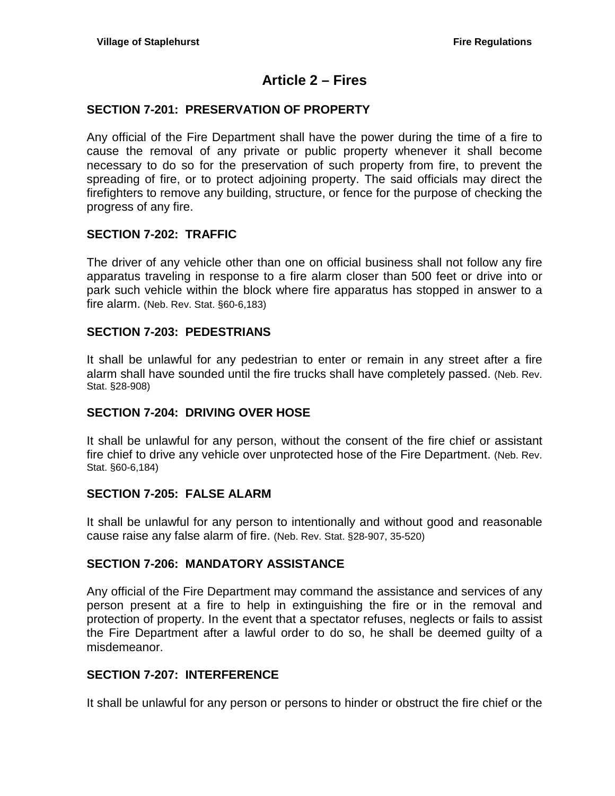## **Article 2 – Fires**

### <span id="page-6-1"></span><span id="page-6-0"></span>**SECTION 7-201: PRESERVATION OF PROPERTY**

Any official of the Fire Department shall have the power during the time of a fire to cause the removal of any private or public property whenever it shall become necessary to do so for the preservation of such property from fire, to prevent the spreading of fire, or to protect adjoining property. The said officials may direct the firefighters to remove any building, structure, or fence for the purpose of checking the progress of any fire.

### <span id="page-6-2"></span>**SECTION 7-202: TRAFFIC**

The driver of any vehicle other than one on official business shall not follow any fire apparatus traveling in response to a fire alarm closer than 500 feet or drive into or park such vehicle within the block where fire apparatus has stopped in answer to a fire alarm. (Neb. Rev. Stat. §60-6,183)

#### <span id="page-6-3"></span>**SECTION 7-203: PEDESTRIANS**

It shall be unlawful for any pedestrian to enter or remain in any street after a fire alarm shall have sounded until the fire trucks shall have completely passed. (Neb. Rev. Stat. §28-908)

### <span id="page-6-4"></span>**SECTION 7-204: DRIVING OVER HOSE**

It shall be unlawful for any person, without the consent of the fire chief or assistant fire chief to drive any vehicle over unprotected hose of the Fire Department. (Neb. Rev. Stat. §60-6,184)

#### <span id="page-6-5"></span>**SECTION 7-205: FALSE ALARM**

It shall be unlawful for any person to intentionally and without good and reasonable cause raise any false alarm of fire. (Neb. Rev. Stat. §28-907, 35-520)

### <span id="page-6-6"></span>**SECTION 7-206: MANDATORY ASSISTANCE**

Any official of the Fire Department may command the assistance and services of any person present at a fire to help in extinguishing the fire or in the removal and protection of property. In the event that a spectator refuses, neglects or fails to assist the Fire Department after a lawful order to do so, he shall be deemed guilty of a misdemeanor.

### <span id="page-6-7"></span>**SECTION 7-207: INTERFERENCE**

It shall be unlawful for any person or persons to hinder or obstruct the fire chief or the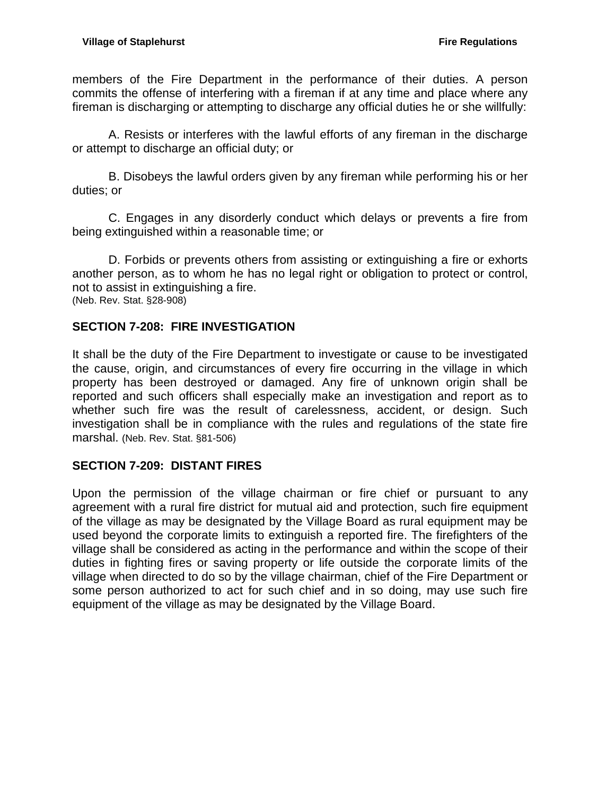members of the Fire Department in the performance of their duties. A person commits the offense of interfering with a fireman if at any time and place where any fireman is discharging or attempting to discharge any official duties he or she willfully:

A. Resists or interferes with the lawful efforts of any fireman in the discharge or attempt to discharge an official duty; or

B. Disobeys the lawful orders given by any fireman while performing his or her duties; or

C. Engages in any disorderly conduct which delays or prevents a fire from being extinguished within a reasonable time; or

D. Forbids or prevents others from assisting or extinguishing a fire or exhorts another person, as to whom he has no legal right or obligation to protect or control, not to assist in extinguishing a fire. (Neb. Rev. Stat. §28-908)

## <span id="page-7-0"></span>**SECTION 7-208: FIRE INVESTIGATION**

It shall be the duty of the Fire Department to investigate or cause to be investigated the cause, origin, and circumstances of every fire occurring in the village in which property has been destroyed or damaged. Any fire of unknown origin shall be reported and such officers shall especially make an investigation and report as to whether such fire was the result of carelessness, accident, or design. Such investigation shall be in compliance with the rules and regulations of the state fire marshal. (Neb. Rev. Stat. §81-506)

### <span id="page-7-1"></span>**SECTION 7-209: DISTANT FIRES**

Upon the permission of the village chairman or fire chief or pursuant to any agreement with a rural fire district for mutual aid and protection, such fire equipment of the village as may be designated by the Village Board as rural equipment may be used beyond the corporate limits to extinguish a reported fire. The firefighters of the village shall be considered as acting in the performance and within the scope of their duties in fighting fires or saving property or life outside the corporate limits of the village when directed to do so by the village chairman, chief of the Fire Department or some person authorized to act for such chief and in so doing, may use such fire equipment of the village as may be designated by the Village Board.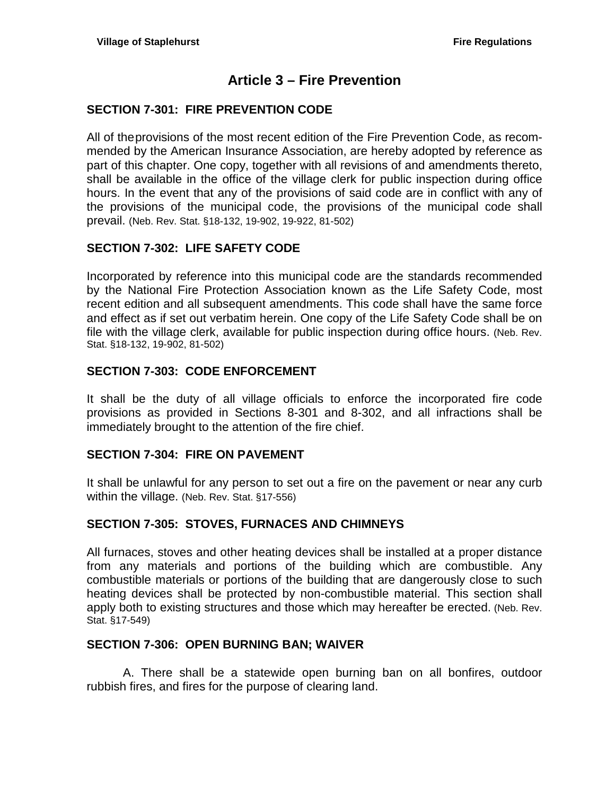# **Article 3 – Fire Prevention**

### <span id="page-8-1"></span><span id="page-8-0"></span>**SECTION 7-301: FIRE PREVENTION CODE**

All of theprovisions of the most recent edition of the Fire Prevention Code, as recommended by the American Insurance Association, are hereby adopted by reference as part of this chapter. One copy, together with all revisions of and amendments thereto, shall be available in the office of the village clerk for public inspection during office hours. In the event that any of the provisions of said code are in conflict with any of the provisions of the municipal code, the provisions of the municipal code shall prevail. (Neb. Rev. Stat. §18-132, 19-902, 19-922, 81-502)

### <span id="page-8-2"></span>**SECTION 7-302: LIFE SAFETY CODE**

Incorporated by reference into this municipal code are the standards recommended by the National Fire Protection Association known as the Life Safety Code, most recent edition and all subsequent amendments. This code shall have the same force and effect as if set out verbatim herein. One copy of the Life Safety Code shall be on file with the village clerk, available for public inspection during office hours. (Neb. Rev. Stat. §18-132, 19-902, 81-502)

### <span id="page-8-3"></span>**SECTION 7-303: CODE ENFORCEMENT**

It shall be the duty of all village officials to enforce the incorporated fire code provisions as provided in Sections 8-301 and 8-302, and all infractions shall be immediately brought to the attention of the fire chief.

### <span id="page-8-4"></span>**SECTION 7-304: FIRE ON PAVEMENT**

It shall be unlawful for any person to set out a fire on the pavement or near any curb within the village. (Neb. Rev. Stat. §17-556)

### <span id="page-8-5"></span>**SECTION 7-305: STOVES, FURNACES AND CHIMNEYS**

All furnaces, stoves and other heating devices shall be installed at a proper distance from any materials and portions of the building which are combustible. Any combustible materials or portions of the building that are dangerously close to such heating devices shall be protected by non-combustible material. This section shall apply both to existing structures and those which may hereafter be erected. (Neb. Rev. Stat. §17-549)

#### <span id="page-8-6"></span>**SECTION 7-306: OPEN BURNING BAN; WAIVER**

A. There shall be a statewide open burning ban on all bonfires, outdoor rubbish fires, and fires for the purpose of clearing land.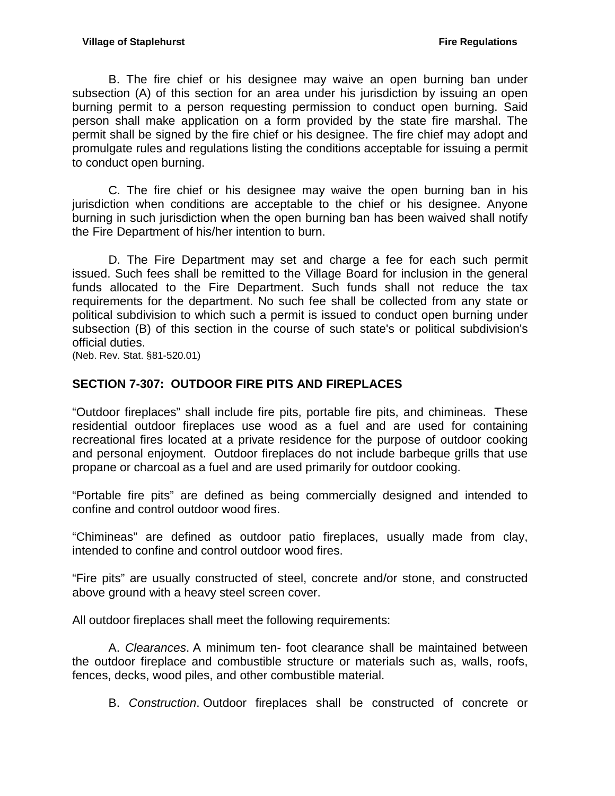B. The fire chief or his designee may waive an open burning ban under subsection (A) of this section for an area under his jurisdiction by issuing an open burning permit to a person requesting permission to conduct open burning. Said person shall make application on a form provided by the state fire marshal. The permit shall be signed by the fire chief or his designee. The fire chief may adopt and promulgate rules and regulations listing the conditions acceptable for issuing a permit to conduct open burning.

C. The fire chief or his designee may waive the open burning ban in his jurisdiction when conditions are acceptable to the chief or his designee. Anyone burning in such jurisdiction when the open burning ban has been waived shall notify the Fire Department of his/her intention to burn.

D. The Fire Department may set and charge a fee for each such permit issued. Such fees shall be remitted to the Village Board for inclusion in the general funds allocated to the Fire Department. Such funds shall not reduce the tax requirements for the department. No such fee shall be collected from any state or political subdivision to which such a permit is issued to conduct open burning under subsection (B) of this section in the course of such state's or political subdivision's official duties.

(Neb. Rev. Stat. §81-520.01)

## <span id="page-9-0"></span>**SECTION 7-307: OUTDOOR FIRE PITS AND FIREPLACES**

"Outdoor fireplaces" shall include fire pits, portable fire pits, and chimineas. These residential outdoor fireplaces use wood as a fuel and are used for containing recreational fires located at a private residence for the purpose of outdoor cooking and personal enjoyment. Outdoor fireplaces do not include barbeque grills that use propane or charcoal as a fuel and are used primarily for outdoor cooking.

"Portable fire pits" are defined as being commercially designed and intended to confine and control outdoor wood fires.

"Chimineas" are defined as outdoor patio fireplaces, usually made from clay, intended to confine and control outdoor wood fires.

"Fire pits" are usually constructed of steel, concrete and/or stone, and constructed above ground with a heavy steel screen cover.

All outdoor fireplaces shall meet the following requirements:

A. *Clearances*. A minimum ten- foot clearance shall be maintained between the outdoor fireplace and combustible structure or materials such as, walls, roofs, fences, decks, wood piles, and other combustible material.

B. *Construction*. Outdoor fireplaces shall be constructed of concrete or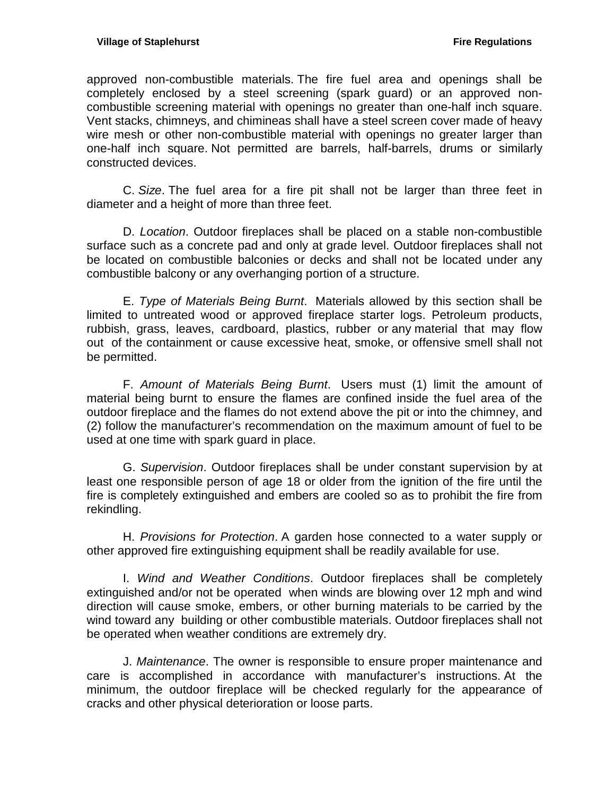approved non-combustible materials. The fire fuel area and openings shall be completely enclosed by a steel screening (spark guard) or an approved noncombustible screening material with openings no greater than one-half inch square. Vent stacks, chimneys, and chimineas shall have a steel screen cover made of heavy wire mesh or other non-combustible material with openings no greater larger than one-half inch square. Not permitted are barrels, half-barrels, drums or similarly constructed devices.

C. *Size*. The fuel area for a fire pit shall not be larger than three feet in diameter and a height of more than three feet.

D. *Location*. Outdoor fireplaces shall be placed on a stable non-combustible surface such as a concrete pad and only at grade level. Outdoor fireplaces shall not be located on combustible balconies or decks and shall not be located under any combustible balcony or any overhanging portion of a structure.

E. *Type of Materials Being Burnt*. Materials allowed by this section shall be limited to untreated wood or approved fireplace starter logs. Petroleum products, rubbish, grass, leaves, cardboard, plastics, rubber or any material that may flow out of the containment or cause excessive heat, smoke, or offensive smell shall not be permitted.

F. *Amount of Materials Being Burnt*. Users must (1) limit the amount of material being burnt to ensure the flames are confined inside the fuel area of the outdoor fireplace and the flames do not extend above the pit or into the chimney, and (2) follow the manufacturer's recommendation on the maximum amount of fuel to be used at one time with spark guard in place.

G. *Supervision*. Outdoor fireplaces shall be under constant supervision by at least one responsible person of age 18 or older from the ignition of the fire until the fire is completely extinguished and embers are cooled so as to prohibit the fire from rekindling.

H. *Provisions for Protection*. A garden hose connected to a water supply or other approved fire extinguishing equipment shall be readily available for use.

I. *Wind and Weather Conditions*. Outdoor fireplaces shall be completely extinguished and/or not be operated when winds are blowing over 12 mph and wind direction will cause smoke, embers, or other burning materials to be carried by the wind toward any building or other combustible materials. Outdoor fireplaces shall not be operated when weather conditions are extremely dry.

J. *Maintenance*. The owner is responsible to ensure proper maintenance and care is accomplished in accordance with manufacturer's instructions. At the minimum, the outdoor fireplace will be checked regularly for the appearance of cracks and other physical deterioration or loose parts.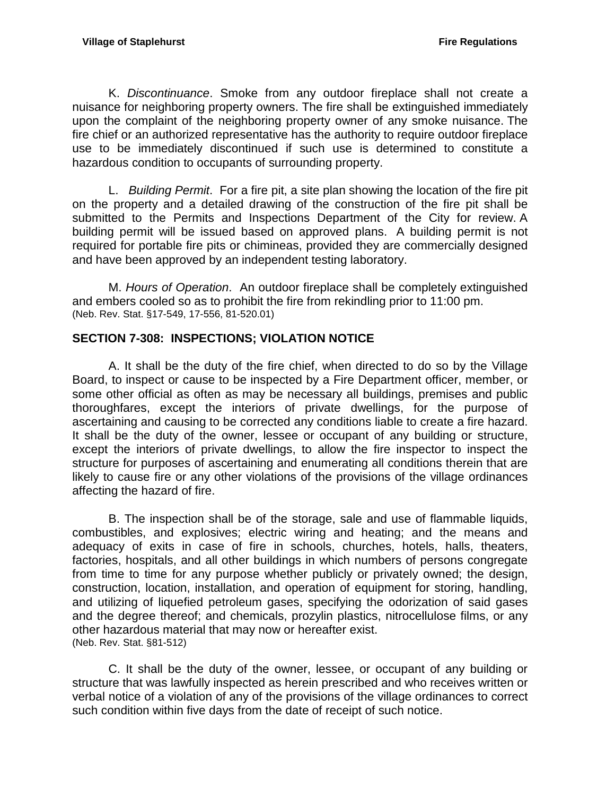K. *Discontinuance*. Smoke from any outdoor fireplace shall not create a nuisance for neighboring property owners. The fire shall be extinguished immediately upon the complaint of the neighboring property owner of any smoke nuisance. The fire chief or an authorized representative has the authority to require outdoor fireplace use to be immediately discontinued if such use is determined to constitute a hazardous condition to occupants of surrounding property.

L. *Building Permit*. For a fire pit, a site plan showing the location of the fire pit on the property and a detailed drawing of the construction of the fire pit shall be submitted to the Permits and Inspections Department of the City for review. A building permit will be issued based on approved plans. A building permit is not required for portable fire pits or chimineas, provided they are commercially designed and have been approved by an independent testing laboratory.

M. *Hours of Operation*. An outdoor fireplace shall be completely extinguished and embers cooled so as to prohibit the fire from rekindling prior to 11:00 pm. (Neb. Rev. Stat. §17-549, 17-556, 81-520.01)

## <span id="page-11-0"></span>**SECTION 7-308: INSPECTIONS; VIOLATION NOTICE**

A. It shall be the duty of the fire chief, when directed to do so by the Village Board, to inspect or cause to be inspected by a Fire Department officer, member, or some other official as often as may be necessary all buildings, premises and public thoroughfares, except the interiors of private dwellings, for the purpose of ascertaining and causing to be corrected any conditions liable to create a fire hazard. It shall be the duty of the owner, lessee or occupant of any building or structure, except the interiors of private dwellings, to allow the fire inspector to inspect the structure for purposes of ascertaining and enumerating all conditions therein that are likely to cause fire or any other violations of the provisions of the village ordinances affecting the hazard of fire.

B. The inspection shall be of the storage, sale and use of flammable liquids, combustibles, and explosives; electric wiring and heating; and the means and adequacy of exits in case of fire in schools, churches, hotels, halls, theaters, factories, hospitals, and all other buildings in which numbers of persons congregate from time to time for any purpose whether publicly or privately owned; the design, construction, location, installation, and operation of equipment for storing, handling, and utilizing of liquefied petroleum gases, specifying the odorization of said gases and the degree thereof; and chemicals, prozylin plastics, nitrocellulose films, or any other hazardous material that may now or hereafter exist. (Neb. Rev. Stat. §81-512)

C. It shall be the duty of the owner, lessee, or occupant of any building or structure that was lawfully inspected as herein prescribed and who receives written or verbal notice of a violation of any of the provisions of the village ordinances to correct such condition within five days from the date of receipt of such notice.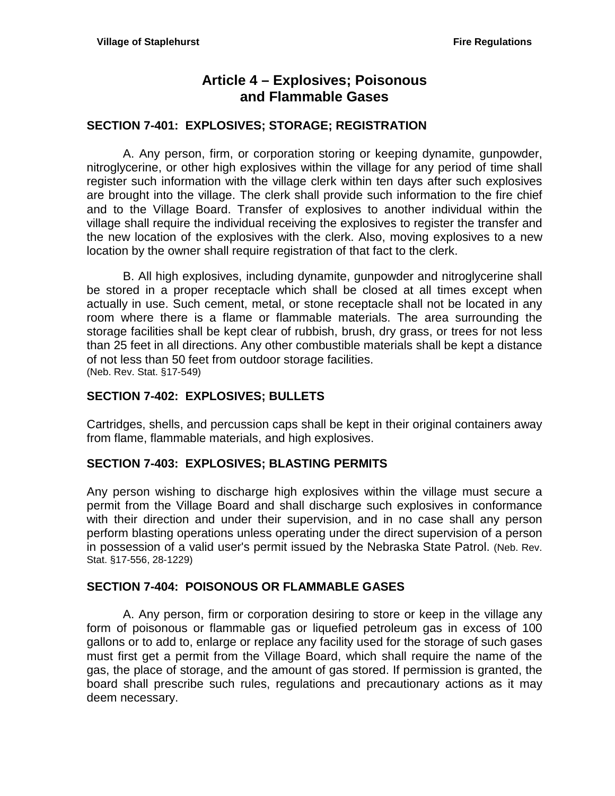# **Article 4 – Explosives; Poisonous and Flammable Gases**

#### <span id="page-12-1"></span><span id="page-12-0"></span>**SECTION 7-401: EXPLOSIVES; STORAGE; REGISTRATION**

A. Any person, firm, or corporation storing or keeping dynamite, gunpowder, nitroglycerine, or other high explosives within the village for any period of time shall register such information with the village clerk within ten days after such explosives are brought into the village. The clerk shall provide such information to the fire chief and to the Village Board. Transfer of explosives to another individual within the village shall require the individual receiving the explosives to register the transfer and the new location of the explosives with the clerk. Also, moving explosives to a new location by the owner shall require registration of that fact to the clerk.

B. All high explosives, including dynamite, gunpowder and nitroglycerine shall be stored in a proper receptacle which shall be closed at all times except when actually in use. Such cement, metal, or stone receptacle shall not be located in any room where there is a flame or flammable materials. The area surrounding the storage facilities shall be kept clear of rubbish, brush, dry grass, or trees for not less than 25 feet in all directions. Any other combustible materials shall be kept a distance of not less than 50 feet from outdoor storage facilities. (Neb. Rev. Stat. §17-549)

### <span id="page-12-2"></span>**SECTION 7-402: EXPLOSIVES; BULLETS**

Cartridges, shells, and percussion caps shall be kept in their original containers away from flame, flammable materials, and high explosives.

#### <span id="page-12-3"></span>**SECTION 7-403: EXPLOSIVES; BLASTING PERMITS**

Any person wishing to discharge high explosives within the village must secure a permit from the Village Board and shall discharge such explosives in conformance with their direction and under their supervision, and in no case shall any person perform blasting operations unless operating under the direct supervision of a person in possession of a valid user's permit issued by the Nebraska State Patrol. (Neb. Rev. Stat. §17-556, 28-1229)

### <span id="page-12-4"></span>**SECTION 7-404: POISONOUS OR FLAMMABLE GASES**

A. Any person, firm or corporation desiring to store or keep in the village any form of poisonous or flammable gas or liquefied petroleum gas in excess of 100 gallons or to add to, enlarge or replace any facility used for the storage of such gases must first get a permit from the Village Board, which shall require the name of the gas, the place of storage, and the amount of gas stored. If permission is granted, the board shall prescribe such rules, regulations and precautionary actions as it may deem necessary.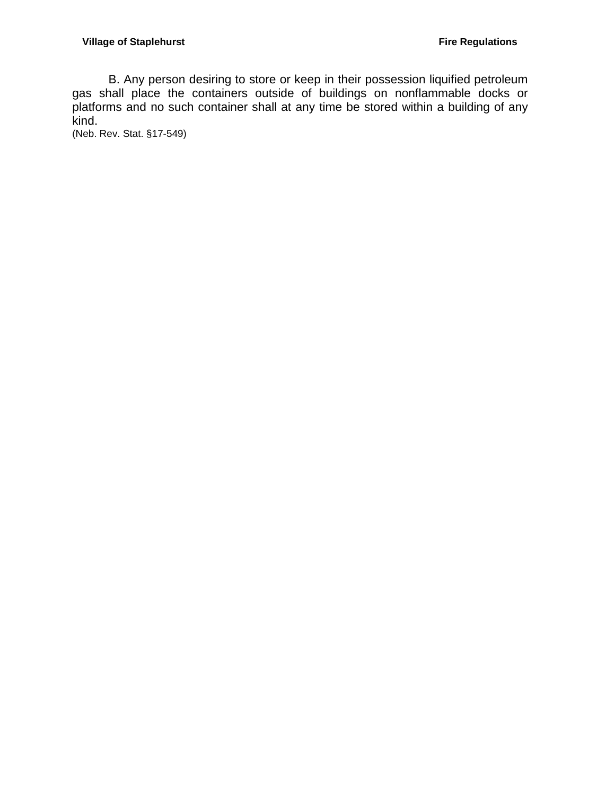B. Any person desiring to store or keep in their possession liquified petroleum gas shall place the containers outside of buildings on nonflammable docks or platforms and no such container shall at any time be stored within a building of any kind.

(Neb. Rev. Stat. §17-549)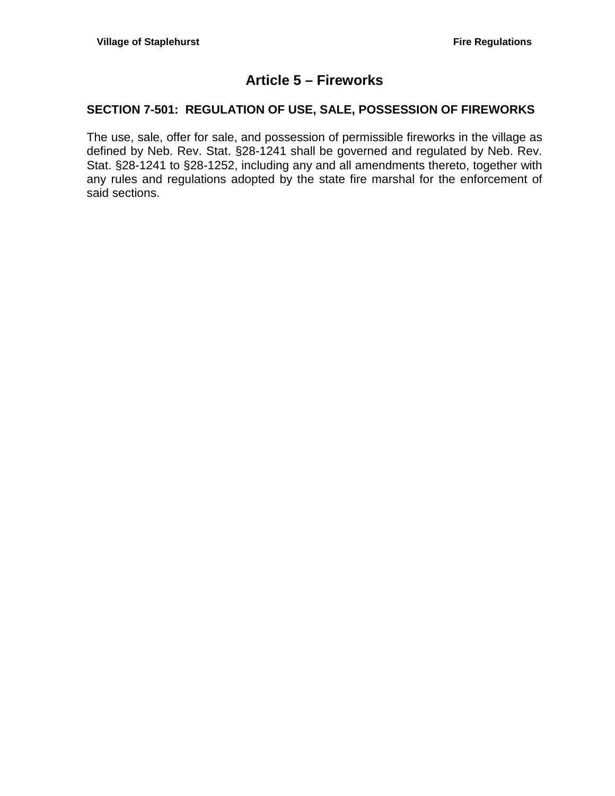# **Article 5 – Fireworks**

## <span id="page-14-1"></span><span id="page-14-0"></span>**SECTION 7-501: REGULATION OF USE, SALE, POSSESSION OF FIREWORKS**

The use, sale, offer for sale, and possession of permissible fireworks in the village as defined by Neb. Rev. Stat. §28-1241 shall be governed and regulated by Neb. Rev. Stat. §28-1241 to §28-1252, including any and all amendments thereto, together with any rules and regulations adopted by the state fire marshal for the enforcement of said sections.